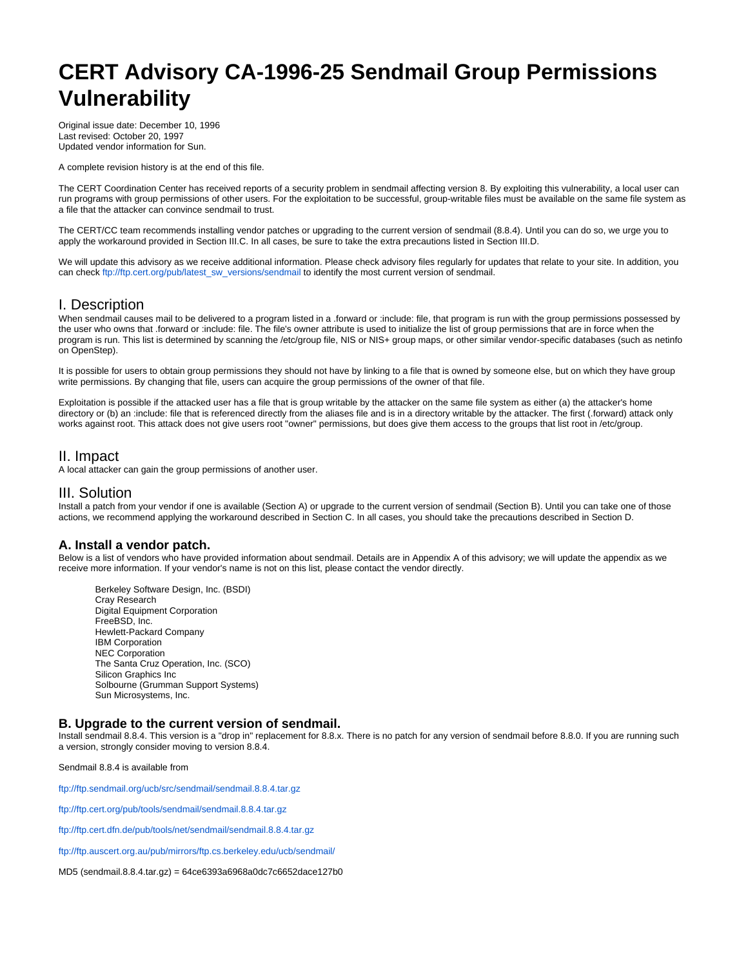# **CERT Advisory CA-1996-25 Sendmail Group Permissions Vulnerability**

Original issue date: December 10, 1996 Last revised: October 20, 1997 Updated vendor information for Sun.

A complete revision history is at the end of this file.

The CERT Coordination Center has received reports of a security problem in sendmail affecting version 8. By exploiting this vulnerability, a local user can run programs with group permissions of other users. For the exploitation to be successful, group-writable files must be available on the same file system as a file that the attacker can convince sendmail to trust.

The CERT/CC team recommends installing vendor patches or upgrading to the current version of sendmail (8.8.4). Until you can do so, we urge you to apply the workaround provided in Section III.C. In all cases, be sure to take the extra precautions listed in Section III.D.

We will update this advisory as we receive additional information. Please check advisory files regularly for updates that relate to your site. In addition, you can check [ftp://ftp.cert.org/pub/latest\\_sw\\_versions/sendmail](ftp://ftp.cert.org/pub/latest_sw_versions/sendmail) to identify the most current version of sendmail.

## I. Description

When sendmail causes mail to be delivered to a program listed in a .forward or :include: file, that program is run with the group permissions possessed by the user who owns that .forward or :include: file. The file's owner attribute is used to initialize the list of group permissions that are in force when the program is run. This list is determined by scanning the /etc/group file, NIS or NIS+ group maps, or other similar vendor-specific databases (such as netinfo on OpenStep).

It is possible for users to obtain group permissions they should not have by linking to a file that is owned by someone else, but on which they have group write permissions. By changing that file, users can acquire the group permissions of the owner of that file.

Exploitation is possible if the attacked user has a file that is group writable by the attacker on the same file system as either (a) the attacker's home directory or (b) an :include: file that is referenced directly from the aliases file and is in a directory writable by the attacker. The first (.forward) attack only works against root. This attack does not give users root "owner" permissions, but does give them access to the groups that list root in /etc/group.

# II. Impact

A local attacker can gain the group permissions of another user.

# III. Solution

Install a patch from your vendor if one is available (Section A) or upgrade to the current version of sendmail (Section B). Until you can take one of those actions, we recommend applying the workaround described in Section C. In all cases, you should take the precautions described in Section D.

## **A. Install a vendor patch.**

Below is a list of vendors who have provided information about sendmail. Details are in Appendix A of this advisory; we will update the appendix as we receive more information. If your vendor's name is not on this list, please contact the vendor directly.

Berkeley Software Design, Inc. (BSDI) Cray Research Digital Equipment Corporation FreeBSD, Inc. Hewlett-Packard Company IBM Corporation NEC Corporation The Santa Cruz Operation, Inc. (SCO) Silicon Graphics Inc Solbourne (Grumman Support Systems) Sun Microsystems, Inc.

#### **B. Upgrade to the current version of sendmail.**

Install sendmail 8.8.4. This version is a "drop in" replacement for 8.8.x. There is no patch for any version of sendmail before 8.8.0. If you are running such a version, strongly consider moving to version 8.8.4.

Sendmail 8.8.4 is available from

<ftp://ftp.sendmail.org/ucb/src/sendmail/sendmail.8.8.4.tar.gz>

[ftp://ftp.cert.org/pub/tools/sendmail/sendmail.8.8.4.tar.gz](ftp://ftp.cert.org/pub/tools/sendmail/)

<ftp://ftp.cert.dfn.de/pub/tools/net/sendmail/sendmail.8.8.4.tar.gz>

<ftp://ftp.auscert.org.au/pub/mirrors/ftp.cs.berkeley.edu/ucb/sendmail/>

MD5 (sendmail.8.8.4.tar.gz) = 64ce6393a6968a0dc7c6652dace127b0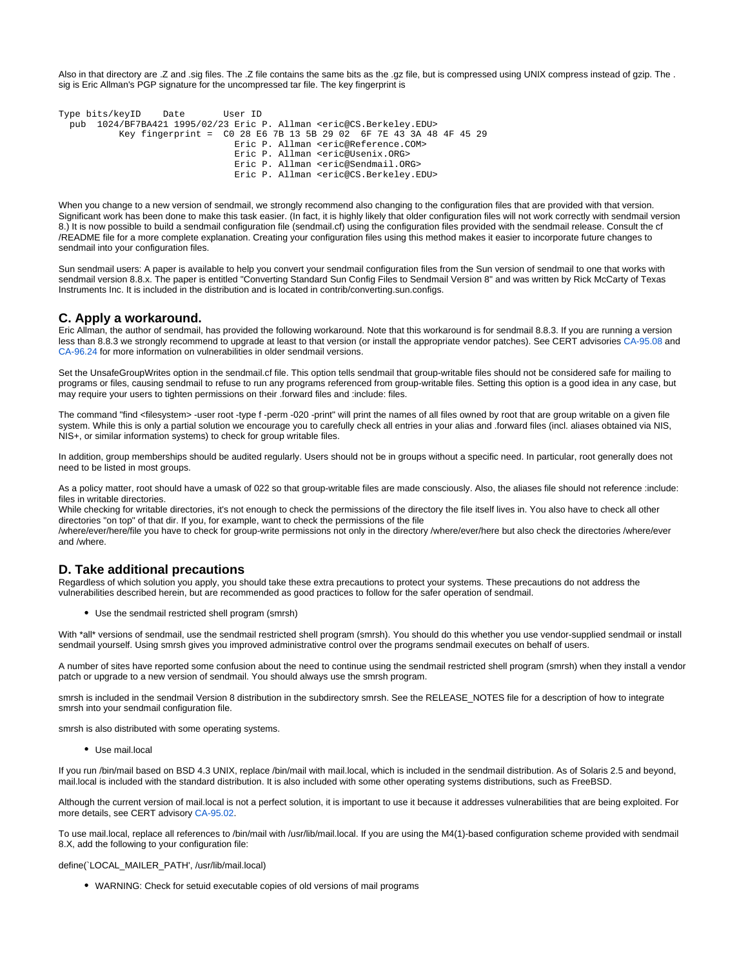Also in that directory are .Z and .sig files. The .Z file contains the same bits as the .gz file, but is compressed using UNIX compress instead of gzip. The . sig is Eric Allman's PGP signature for the uncompressed tar file. The key fingerprint is

```
Type bits/keyID Date User ID
pub 1024/BF7BA421 1995/02/23 Eric P. Allman <eric@CS.Berkeley.EDU>
         Key fingerprint = C0 28 E6 7B 13 5B 29 02 6F 7E 43 3A 48 4F 45 29
                              Eric P. Allman <eric@Reference.COM>
                              Eric P. Allman <eric@Usenix.ORG>
                              Eric P. Allman <eric@Sendmail.ORG>
                              Eric P. Allman <eric@CS.Berkeley.EDU>
```
When you change to a new version of sendmail, we strongly recommend also changing to the configuration files that are provided with that version. Significant work has been done to make this task easier. (In fact, it is highly likely that older configuration files will not work correctly with sendmail version 8.) It is now possible to build a sendmail configuration file (sendmail.cf) using the configuration files provided with the sendmail release. Consult the cf /README file for a more complete explanation. Creating your configuration files using this method makes it easier to incorporate future changes to sendmail into your configuration files.

Sun sendmail users: A paper is available to help you convert your sendmail configuration files from the Sun version of sendmail to one that works with sendmail version 8.8.x. The paper is entitled "Converting Standard Sun Config Files to Sendmail Version 8" and was written by Rick McCarty of Texas Instruments Inc. It is included in the distribution and is located in contrib/converting.sun.configs.

## **C. Apply a workaround.**

Eric Allman, the author of sendmail, has provided the following workaround. Note that this workaround is for sendmail 8.8.3. If you are running a version less than 8.8.3 we strongly recommend to upgrade at least to that version (or install the appropriate vendor patches). See CERT advisories [CA-95.08](http://www.cert.org/advisories/CA-95.08.sendmail.v.5.vulnerability.html) and [CA-96.24](http://www.cert.org/advisories/CA-96.24.sendmail.daemon.mode.html) for more information on vulnerabilities in older sendmail versions.

Set the UnsafeGroupWrites option in the sendmail.cf file. This option tells sendmail that group-writable files should not be considered safe for mailing to programs or files, causing sendmail to refuse to run any programs referenced from group-writable files. Setting this option is a good idea in any case, but may require your users to tighten permissions on their .forward files and :include: files.

The command "find <filesystem> -user root -type f -perm -020 -print" will print the names of all files owned by root that are group writable on a given file system. While this is only a partial solution we encourage you to carefully check all entries in your alias and .forward files (incl. aliases obtained via NIS, NIS+, or similar information systems) to check for group writable files.

In addition, group memberships should be audited regularly. Users should not be in groups without a specific need. In particular, root generally does not need to be listed in most groups.

As a policy matter, root should have a umask of 022 so that group-writable files are made consciously. Also, the aliases file should not reference :include: files in writable directories.

While checking for writable directories, it's not enough to check the permissions of the directory the file itself lives in. You also have to check all other directories "on top" of that dir. If you, for example, want to check the permissions of the file

/where/ever/here/file you have to check for group-write permissions not only in the directory /where/ever/here but also check the directories /where/ever and /where.

## **D. Take additional precautions**

Regardless of which solution you apply, you should take these extra precautions to protect your systems. These precautions do not address the vulnerabilities described herein, but are recommended as good practices to follow for the safer operation of sendmail.

Use the sendmail restricted shell program (smrsh)

With \*all\* versions of sendmail, use the sendmail restricted shell program (smrsh). You should do this whether you use vendor-supplied sendmail or install sendmail yourself. Using smrsh gives you improved administrative control over the programs sendmail executes on behalf of users.

A number of sites have reported some confusion about the need to continue using the sendmail restricted shell program (smrsh) when they install a vendor patch or upgrade to a new version of sendmail. You should always use the smrsh program.

smrsh is included in the sendmail Version 8 distribution in the subdirectory smrsh. See the RELEASE\_NOTES file for a description of how to integrate smrsh into your sendmail configuration file.

smrsh is also distributed with some operating systems.

Use mail.local

If you run /bin/mail based on BSD 4.3 UNIX, replace /bin/mail with mail.local, which is included in the sendmail distribution. As of Solaris 2.5 and beyond, mail.local is included with the standard distribution. It is also included with some other operating systems distributions, such as FreeBSD.

Although the current version of mail.local is not a perfect solution, it is important to use it because it addresses vulnerabilities that are being exploited. For more details, see CERT advisory [CA-95.02](http://www.cert.org/advisories/CA-95.02.binmail.vulnerabilities.html).

To use mail.local, replace all references to /bin/mail with /usr/lib/mail.local. If you are using the M4(1)-based configuration scheme provided with sendmail 8.X, add the following to your configuration file:

define(`LOCAL\_MAILER\_PATH', /usr/lib/mail.local)

WARNING: Check for setuid executable copies of old versions of mail programs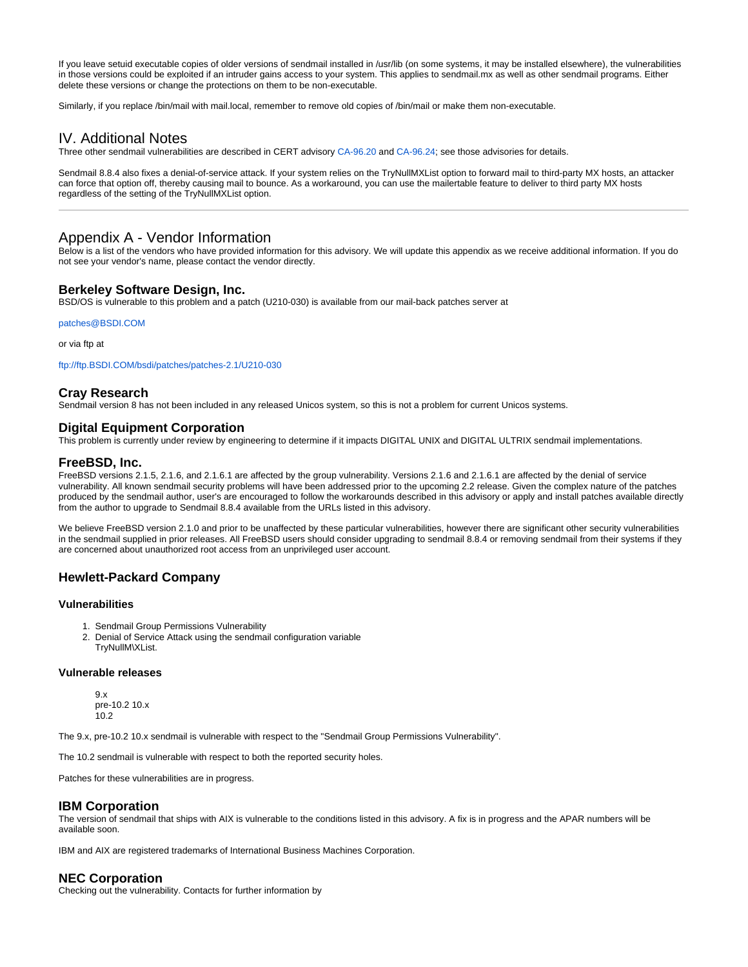If you leave setuid executable copies of older versions of sendmail installed in /usr/lib (on some systems, it may be installed elsewhere), the vulnerabilities in those versions could be exploited if an intruder gains access to your system. This applies to sendmail.mx as well as other sendmail programs. Either delete these versions or change the protections on them to be non-executable.

Similarly, if you replace /bin/mail with mail.local, remember to remove old copies of /bin/mail or make them non-executable.

# IV. Additional Notes

Three other sendmail vulnerabilities are described in CERT advisory [CA-96.20](http://www.cert.org/advisories/CA-96.20.sendmail_vul.html) and [CA-96.24](http://www.cert.org/advisories/CA-96.24.sendmail.daemon.mode.html); see those advisories for details.

Sendmail 8.8.4 also fixes a denial-of-service attack. If your system relies on the TryNullMXList option to forward mail to third-party MX hosts, an attacker can force that option off, thereby causing mail to bounce. As a workaround, you can use the mailertable feature to deliver to third party MX hosts regardless of the setting of the TryNullMXList option.

# Appendix A - Vendor Information

Below is a list of the vendors who have provided information for this advisory. We will update this appendix as we receive additional information. If you do not see your vendor's name, please contact the vendor directly.

## **Berkeley Software Design, Inc.**

BSD/OS is vulnerable to this problem and a patch (U210-030) is available from our mail-back patches server at

[patches@BSDI.COM](mailto:patches@BSDI.COM)

or via ftp at

<ftp://ftp.BSDI.COM/bsdi/patches/patches-2.1/U210-030>

## **Cray Research**

Sendmail version 8 has not been included in any released Unicos system, so this is not a problem for current Unicos systems.

## **Digital Equipment Corporation**

This problem is currently under review by engineering to determine if it impacts DIGITAL UNIX and DIGITAL ULTRIX sendmail implementations.

#### **FreeBSD, Inc.**

FreeBSD versions 2.1.5, 2.1.6, and 2.1.6.1 are affected by the group vulnerability. Versions 2.1.6 and 2.1.6.1 are affected by the denial of service vulnerability. All known sendmail security problems will have been addressed prior to the upcoming 2.2 release. Given the complex nature of the patches produced by the sendmail author, user's are encouraged to follow the workarounds described in this advisory or apply and install patches available directly from the author to upgrade to Sendmail 8.8.4 available from the URLs listed in this advisory.

We believe FreeBSD version 2.1.0 and prior to be unaffected by these particular vulnerabilities, however there are significant other security vulnerabilities in the sendmail supplied in prior releases. All FreeBSD users should consider upgrading to sendmail 8.8.4 or removing sendmail from their systems if they are concerned about unauthorized root access from an unprivileged user account.

## **Hewlett-Packard Company**

### **Vulnerabilities**

- 1. Sendmail Group Permissions Vulnerability
- 2. Denial of Service Attack using the sendmail configuration variable TryNullM\XList.

#### **Vulnerable releases**

9.x pre-10.2 10.x 10.2

The 9.x, pre-10.2 10.x sendmail is vulnerable with respect to the "Sendmail Group Permissions Vulnerability".

The 10.2 sendmail is vulnerable with respect to both the reported security holes.

Patches for these vulnerabilities are in progress.

#### **IBM Corporation**

The version of sendmail that ships with AIX is vulnerable to the conditions listed in this advisory. A fix is in progress and the APAR numbers will be available soon.

IBM and AIX are registered trademarks of International Business Machines Corporation.

## **NEC Corporation**

Checking out the vulnerability. Contacts for further information by